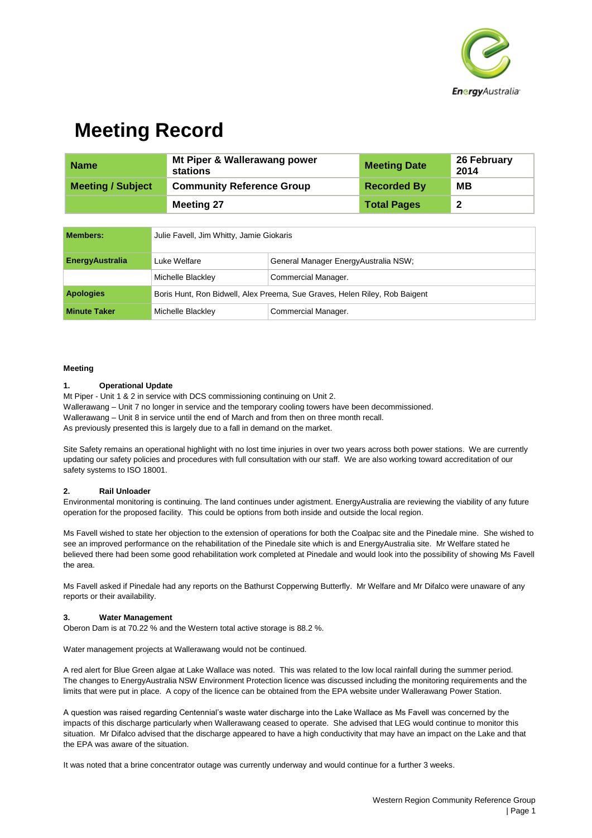

## **Meeting Record**

| <b>Name</b>              | Mt Piper & Wallerawang power<br>stations | <b>Meeting Date</b> | 26 February<br>2014     |
|--------------------------|------------------------------------------|---------------------|-------------------------|
| <b>Meeting / Subject</b> | <b>Community Reference Group</b>         | <b>Recorded By</b>  | MВ                      |
|                          | <b>Meeting 27</b>                        | <b>Total Pages</b>  | $\overline{\mathbf{2}}$ |

| <b>Members:</b>        | Julie Favell, Jim Whitty, Jamie Giokaris                                   |                                      |  |
|------------------------|----------------------------------------------------------------------------|--------------------------------------|--|
| <b>EnergyAustralia</b> | Luke Welfare                                                               | General Manager EnergyAustralia NSW; |  |
|                        | Michelle Blackley                                                          | Commercial Manager.                  |  |
| <b>Apologies</b>       | Boris Hunt, Ron Bidwell, Alex Preema, Sue Graves, Helen Riley, Rob Baigent |                                      |  |
| <b>Minute Taker</b>    | Michelle Blackley                                                          | Commercial Manager.                  |  |

### **Meeting**

### **1. Operational Update**

Mt Piper - Unit 1 & 2 in service with DCS commissioning continuing on Unit 2. Wallerawang – Unit 7 no longer in service and the temporary cooling towers have been decommissioned. Wallerawang – Unit 8 in service until the end of March and from then on three month recall. As previously presented this is largely due to a fall in demand on the market.

Site Safety remains an operational highlight with no lost time injuries in over two years across both power stations. We are currently updating our safety policies and procedures with full consultation with our staff. We are also working toward accreditation of our safety systems to ISO 18001.

### **2. Rail Unloader**

Environmental monitoring is continuing. The land continues under agistment. EnergyAustralia are reviewing the viability of any future operation for the proposed facility. This could be options from both inside and outside the local region.

Ms Favell wished to state her objection to the extension of operations for both the Coalpac site and the Pinedale mine. She wished to see an improved performance on the rehabilitation of the Pinedale site which is and EnergyAustralia site. Mr Welfare stated he believed there had been some good rehabilitation work completed at Pinedale and would look into the possibility of showing Ms Favell the area.

Ms Favell asked if Pinedale had any reports on the Bathurst Copperwing Butterfly. Mr Welfare and Mr Difalco were unaware of any reports or their availability.

### **3. Water Management**

Oberon Dam is at 70.22 % and the Western total active storage is 88.2 %.

Water management projects at Wallerawang would not be continued.

A red alert for Blue Green algae at Lake Wallace was noted. This was related to the low local rainfall during the summer period. The changes to EnergyAustralia NSW Environment Protection licence was discussed including the monitoring requirements and the limits that were put in place. A copy of the licence can be obtained from the EPA website under Wallerawang Power Station.

A question was raised regarding Centennial's waste water discharge into the Lake Wallace as Ms Favell was concerned by the impacts of this discharge particularly when Wallerawang ceased to operate. She advised that LEG would continue to monitor this situation. Mr Difalco advised that the discharge appeared to have a high conductivity that may have an impact on the Lake and that the EPA was aware of the situation.

It was noted that a brine concentrator outage was currently underway and would continue for a further 3 weeks.